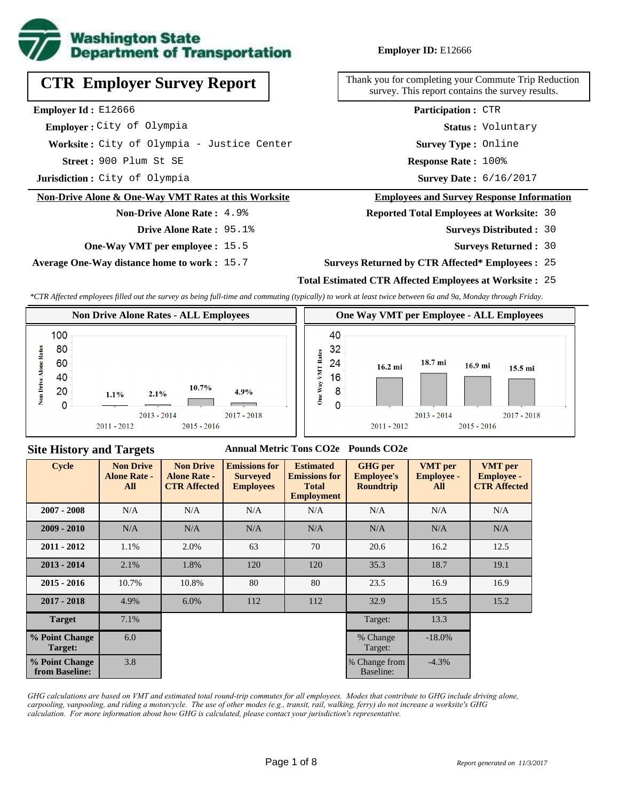

**CTR Employer Survey Report**

**Worksite :** City of Olympia - Justice Center

**Non-Drive Alone & One-Way VMT Rates at this Worksite**

**One-Way VMT per employee :** 15.5

**Average One-Way distance home to work :** 15.7

**Non-Drive Alone Rate :** 4.9%

**Drive Alone Rate :** 95.1%

**Jurisdiction :** City of Olympia

 **Employer :** City of Olympia

**Employer Id :** E12666

#### **Employer ID:** E12666

Thank you for completing your Commute Trip Reduction survey. This report contains the survey results.

> **Status :** Voluntary **Participation :** CTR

**Survey Type :** Online

**Street :** 900 Plum St SE **Response Rate :** Response Rate: 100%

Survey Date: 6/16/2017

#### **Employees and Survey Response Information**

**Reported Total Employees at Worksite:** 30

- Surveys Distributed : 30
	- **Surveys Returned :** 30

#### **Surveys Returned by CTR Affected\* Employees :** 25

## **Total Estimated CTR Affected Employees at Worksite :** 25

*\*CTR Affected employees filled out the survey as being full-time and commuting (typically) to work at least twice between 6a and 9a, Monday through Friday.*



#### **Site History and Targets**

#### **Annual Metric Tons CO2e Pounds CO2e**

| <b>Cycle</b>                     | <b>Non Drive</b><br><b>Alone Rate -</b><br>All | <b>Non Drive</b><br><b>Alone Rate -</b><br><b>CTR Affected</b> | <b>Emissions for</b><br><b>Surveyed</b><br><b>Employees</b> | <b>Estimated</b><br><b>Emissions for</b><br><b>Total</b><br><b>Employment</b> | <b>GHG</b> per<br><b>Employee's</b><br><b>Roundtrip</b> | <b>VMT</b> per<br><b>Employee -</b><br>All | <b>VMT</b> per<br><b>Employee -</b><br><b>CTR Affected</b> |
|----------------------------------|------------------------------------------------|----------------------------------------------------------------|-------------------------------------------------------------|-------------------------------------------------------------------------------|---------------------------------------------------------|--------------------------------------------|------------------------------------------------------------|
| $2007 - 2008$                    | N/A                                            | N/A                                                            | N/A                                                         | N/A                                                                           | N/A                                                     | N/A                                        | N/A                                                        |
| $2009 - 2010$                    | N/A                                            | N/A                                                            | N/A                                                         | N/A                                                                           | N/A                                                     | N/A                                        | N/A                                                        |
| $2011 - 2012$                    | 1.1%                                           | 2.0%                                                           | 63                                                          | 70                                                                            | 20.6                                                    | 16.2                                       | 12.5                                                       |
| $2013 - 2014$                    | 2.1%                                           | 1.8%                                                           | 120                                                         | 120                                                                           | 35.3                                                    | 18.7                                       | 19.1                                                       |
| $2015 - 2016$                    | 10.7%                                          | 10.8%                                                          | 80                                                          | 80                                                                            | 23.5                                                    | 16.9                                       | 16.9                                                       |
| $2017 - 2018$                    | 4.9%                                           | 6.0%                                                           | 112                                                         | 112                                                                           | 32.9                                                    | 15.5                                       | 15.2                                                       |
| <b>Target</b>                    | 7.1%                                           |                                                                |                                                             |                                                                               | Target:                                                 | 13.3                                       |                                                            |
| % Point Change<br>Target:        | 6.0                                            |                                                                |                                                             |                                                                               | % Change<br>Target:                                     | $-18.0\%$                                  |                                                            |
| % Point Change<br>from Baseline: | 3.8                                            |                                                                |                                                             |                                                                               | % Change from<br>Baseline:                              | $-4.3\%$                                   |                                                            |

*GHG calculations are based on VMT and estimated total round-trip commutes for all employees. Modes that contribute to GHG include driving alone, carpooling, vanpooling, and riding a motorcycle. The use of other modes (e.g., transit, rail, walking, ferry) do not increase a worksite's GHG calculation. For more information about how GHG is calculated, please contact your jurisdiction's representative.*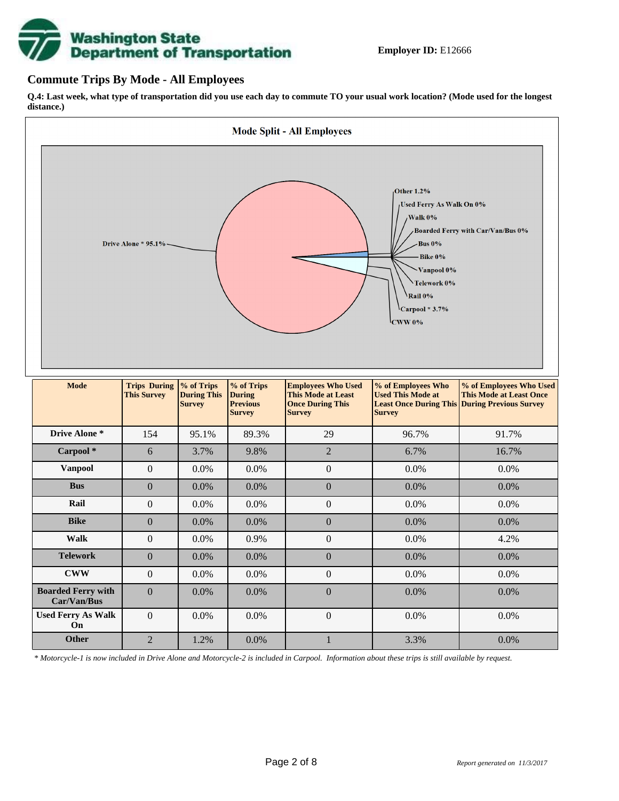# **Washington State<br>Department of Transportation**

## **Commute Trips By Mode - All Employees**

**Q.4: Last week, what type of transportation did you use each day to commute TO your usual work location? (Mode used for the longest distance.)**



*\* Motorcycle-1 is now included in Drive Alone and Motorcycle-2 is included in Carpool. Information about these trips is still available by request.*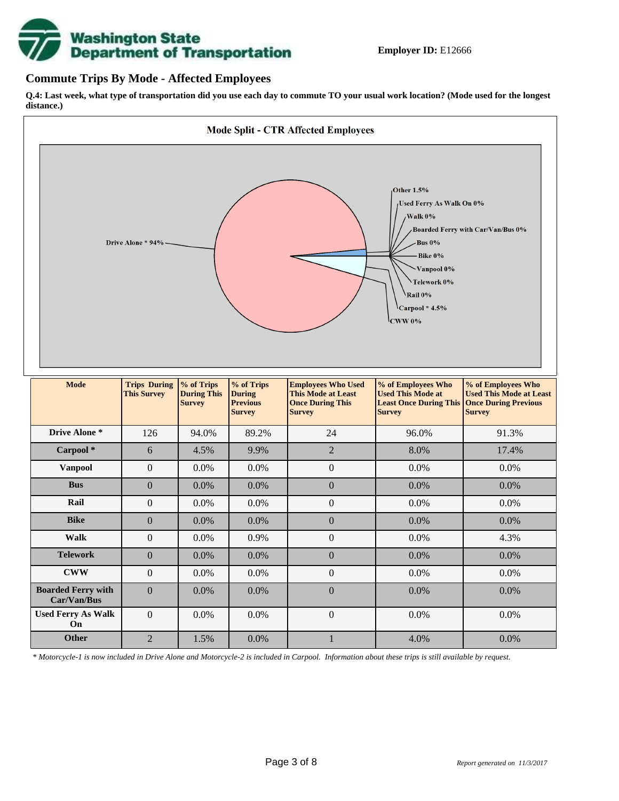

## **Commute Trips By Mode - Affected Employees**

**Q.4: Last week, what type of transportation did you use each day to commute TO your usual work location? (Mode used for the longest distance.)**



*\* Motorcycle-1 is now included in Drive Alone and Motorcycle-2 is included in Carpool. Information about these trips is still available by request.*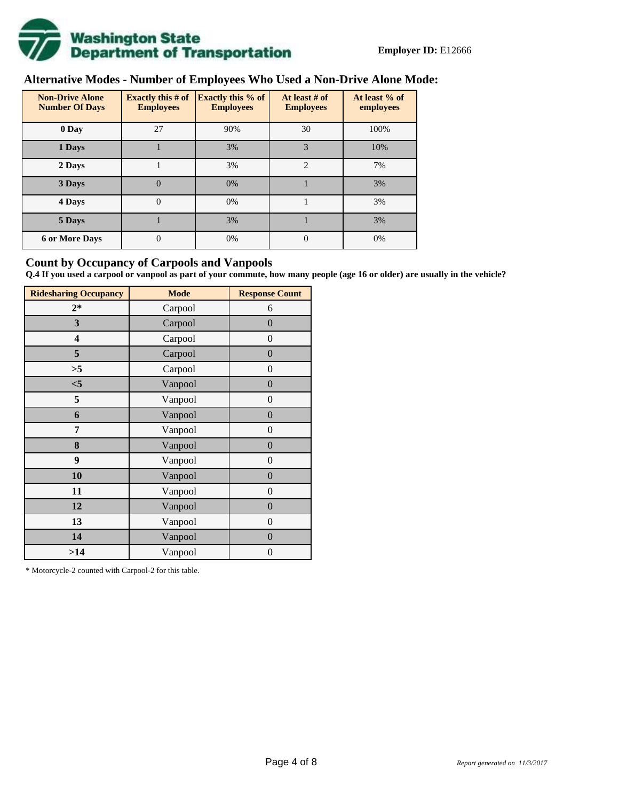

# **Alternative Modes - Number of Employees Who Used a Non-Drive Alone Mode:**

| <b>Non-Drive Alone</b><br><b>Number Of Days</b> | Exactly this $# of$<br><b>Employees</b> | <b>Exactly this % of</b><br><b>Employees</b> | At least # of<br><b>Employees</b> | At least % of<br>employees |  |  |
|-------------------------------------------------|-----------------------------------------|----------------------------------------------|-----------------------------------|----------------------------|--|--|
| 0 Day                                           | 27                                      | 90%                                          | 30                                | 100%                       |  |  |
| 1 Days                                          |                                         | 3%                                           | 3                                 | 10%                        |  |  |
| 2 Days                                          |                                         | 3%                                           | $\overline{2}$                    | 7%                         |  |  |
| 3 Days                                          | $\theta$                                | 0%                                           |                                   | 3%                         |  |  |
| 4 Days                                          | $\theta$                                | 0%                                           |                                   | 3%                         |  |  |
| 5 Days                                          |                                         | 3%                                           |                                   | 3%                         |  |  |
| <b>6 or More Days</b>                           | 0                                       | 0%                                           | $\theta$                          | 0%                         |  |  |

## **Count by Occupancy of Carpools and Vanpools**

**Q.4 If you used a carpool or vanpool as part of your commute, how many people (age 16 or older) are usually in the vehicle?**

| <b>Ridesharing Occupancy</b> | <b>Mode</b> | <b>Response Count</b> |  |  |  |
|------------------------------|-------------|-----------------------|--|--|--|
| $2*$                         | Carpool     | 6                     |  |  |  |
| 3                            | Carpool     | $\boldsymbol{0}$      |  |  |  |
| 4                            | Carpool     | $\theta$              |  |  |  |
| 5                            | Carpool     | $\boldsymbol{0}$      |  |  |  |
| >5                           | Carpool     | $\overline{0}$        |  |  |  |
| < 5                          | Vanpool     | $\overline{0}$        |  |  |  |
| 5                            | Vanpool     | $\boldsymbol{0}$      |  |  |  |
| 6                            | Vanpool     | $\boldsymbol{0}$      |  |  |  |
| 7                            | Vanpool     | $\boldsymbol{0}$      |  |  |  |
| 8                            | Vanpool     | $\boldsymbol{0}$      |  |  |  |
| 9                            | Vanpool     | $\boldsymbol{0}$      |  |  |  |
| 10                           | Vanpool     | $\boldsymbol{0}$      |  |  |  |
| 11                           | Vanpool     | $\boldsymbol{0}$      |  |  |  |
| 12                           | Vanpool     | $\boldsymbol{0}$      |  |  |  |
| 13                           | Vanpool     | $\boldsymbol{0}$      |  |  |  |
| 14                           | Vanpool     | $\overline{0}$        |  |  |  |
| >14                          | Vanpool     | $\boldsymbol{0}$      |  |  |  |

\* Motorcycle-2 counted with Carpool-2 for this table.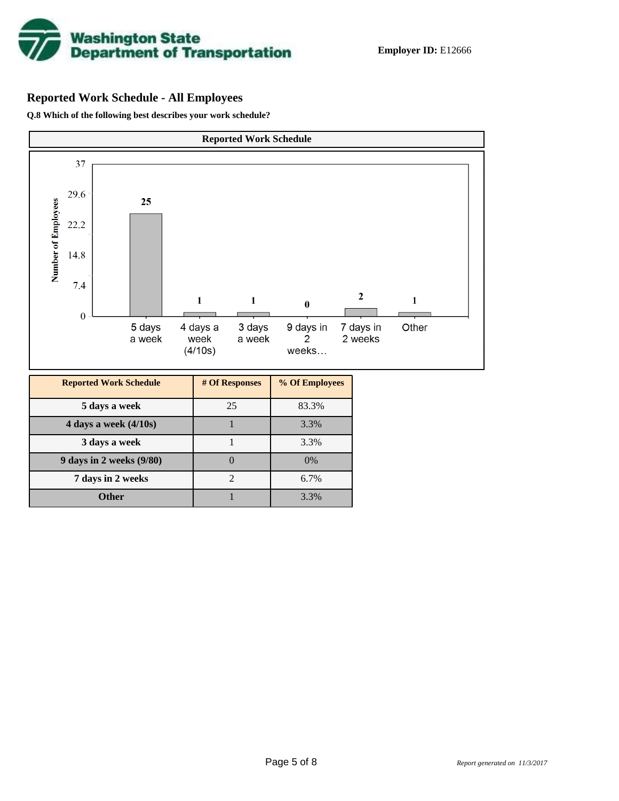

# **Reported Work Schedule - All Employees**

**Q.8 Which of the following best describes your work schedule?**

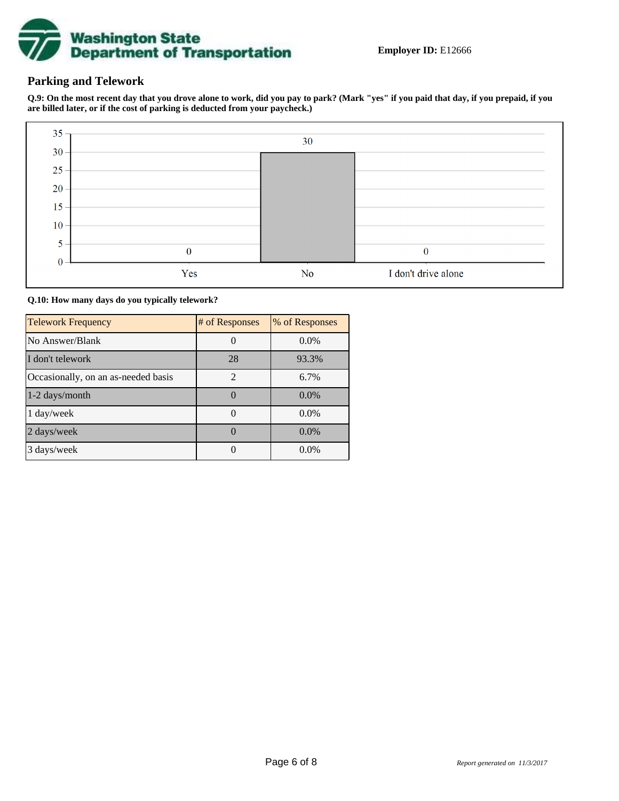

## **Parking and Telework**

**Q.9: On the most recent day that you drove alone to work, did you pay to park? (Mark "yes" if you paid that day, if you prepaid, if you are billed later, or if the cost of parking is deducted from your paycheck.)**



**Q.10: How many days do you typically telework?**

| <b>Telework Frequency</b>           | # of Responses | % of Responses |
|-------------------------------------|----------------|----------------|
| No Answer/Blank                     |                | $0.0\%$        |
| I don't telework                    | 28             | 93.3%          |
| Occasionally, on an as-needed basis | $\mathfrak{D}$ | 6.7%           |
| 1-2 days/month                      |                | $0.0\%$        |
| 1 day/week                          |                | $0.0\%$        |
| 2 days/week                         |                | $0.0\%$        |
| 3 days/week                         |                | $0.0\%$        |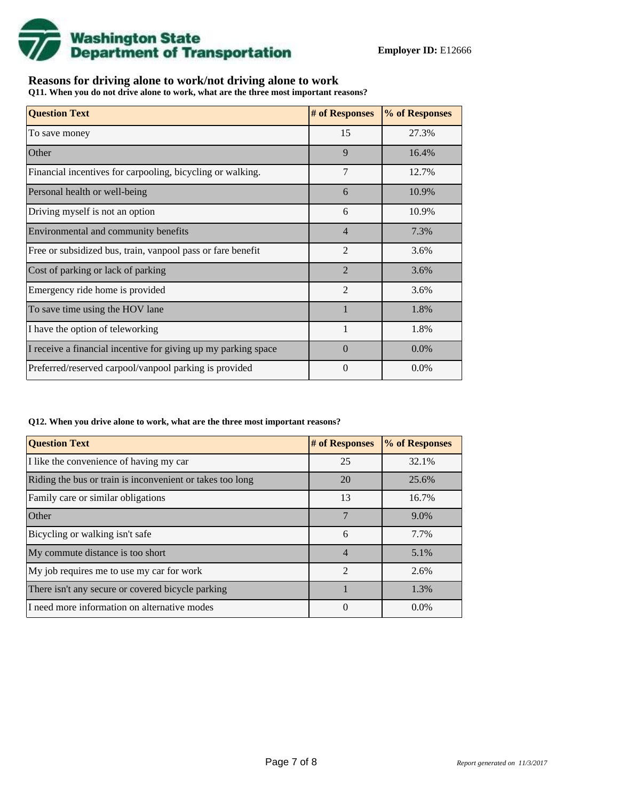

## **Reasons for driving alone to work/not driving alone to work**

**Q11. When you do not drive alone to work, what are the three most important reasons?**

| <b>Question Text</b>                                           | # of Responses | % of Responses |
|----------------------------------------------------------------|----------------|----------------|
| To save money                                                  | 15             | 27.3%          |
| Other                                                          | 9              | 16.4%          |
| Financial incentives for carpooling, bicycling or walking.     | 7              | 12.7%          |
| Personal health or well-being                                  | 6              | 10.9%          |
| Driving myself is not an option                                | 6              | 10.9%          |
| Environmental and community benefits                           | $\overline{4}$ | 7.3%           |
| Free or subsidized bus, train, vanpool pass or fare benefit    | $\overline{2}$ | 3.6%           |
| Cost of parking or lack of parking                             | $\overline{2}$ | 3.6%           |
| Emergency ride home is provided                                | $\overline{2}$ | 3.6%           |
| To save time using the HOV lane                                |                | 1.8%           |
| I have the option of teleworking                               |                | 1.8%           |
| I receive a financial incentive for giving up my parking space | $\Omega$       | $0.0\%$        |
| Preferred/reserved carpool/vanpool parking is provided         | $\Omega$       | $0.0\%$        |

#### **Q12. When you drive alone to work, what are the three most important reasons?**

| <b>Question Text</b>                                      | # of Responses | % of Responses |  |  |
|-----------------------------------------------------------|----------------|----------------|--|--|
| I like the convenience of having my car                   | 25             | 32.1%          |  |  |
| Riding the bus or train is inconvenient or takes too long | 20             | 25.6%          |  |  |
| Family care or similar obligations                        | 13             | 16.7%          |  |  |
| <b>Other</b>                                              | 7              | 9.0%           |  |  |
| Bicycling or walking isn't safe                           | 6              | 7.7%           |  |  |
| My commute distance is too short                          | $\overline{4}$ | 5.1%           |  |  |
| My job requires me to use my car for work                 | $\mathfrak{D}$ | 2.6%           |  |  |
| There isn't any secure or covered bicycle parking         |                | 1.3%           |  |  |
| I need more information on alternative modes              | 0              | $0.0\%$        |  |  |